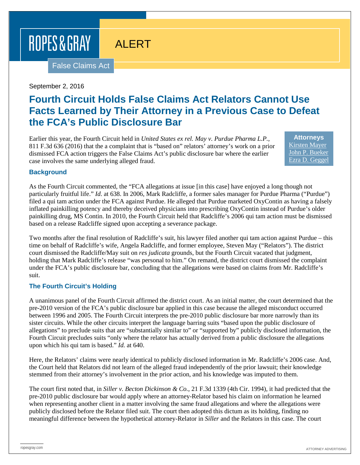# ROPES & GRAY

# ALERT

False Claims Act

#### September 2, 2016

## **Fourth Circuit Holds False Claims Act Relators Cannot Use Facts Learned by Their Attorney in a Previous Case to Defeat the FCA's Public Disclosure Bar**

Earlier this year, the Fourth Circuit held in *United States ex rel. May v. Purdue Pharma L.P.*, 811 F.3d 636 (2016) that the a complaint that is "based on" relators' attorney's work on a prior dismissed FCA action triggers the False Claims Act's public disclosure bar where the earlier case involves the same underlying alleged fraud.

**Attorneys** [Kirsten Mayer](https://www.ropesgray.com/biographies/m/kirsten-mayer.aspx) [John P. Bueker](https://www.ropesgray.com/biographies/b/john-p-bueker.aspx) [Ezra D. Geggel](https://www.ropesgray.com/biographies/g/ezra-geggel.aspx)

#### **Background**

As the Fourth Circuit commented, the "FCA allegations at issue [in this case] have enjoyed a long though not particularly fruitful life." *Id*. at 638. In 2006, Mark Radcliffe, a former sales manager for Purdue Pharma ("Purdue") filed a qui tam action under the FCA against Purdue. He alleged that Purdue marketed OxyContin as having a falsely inflated painkilling potency and thereby deceived physicians into prescribing OxyContin instead of Purdue's older painkilling drug, MS Contin. In 2010, the Fourth Circuit held that Radcliffe's 2006 qui tam action must be dismissed based on a release Radcliffe signed upon accepting a severance package.

Two months after the final resolution of Radcliffe's suit, his lawyer filed another qui tam action against Purdue – this time on behalf of Radcliffe's wife, Angela Radcliffe, and former employee, Steven May ("Relators"). The district court dismissed the Radcliffe/May suit on *res judicata* grounds, but the Fourth Circuit vacated that judgment, holding that Mark Radcliffe's release "was personal to him." On remand, the district court dismissed the complaint under the FCA's public disclosure bar, concluding that the allegations were based on claims from Mr. Radcliffe's suit.

#### **The Fourth Circuit's Holding**

A unanimous panel of the Fourth Circuit affirmed the district court. As an initial matter, the court determined that the pre-2010 version of the FCA's public disclosure bar applied in this case because the alleged misconduct occurred between 1996 and 2005. The Fourth Circuit interprets the pre-2010 public disclosure bar more narrowly than its sister circuits. While the other circuits interpret the language barring suits "based upon the public disclosure of allegations" to preclude suits that are "substantially similar to" or "supported by" publicly disclosed information, the Fourth Circuit precludes suits "only where the relator has actually derived from a public disclosure the allegations upon which his qui tam is based." *Id.* at 640.

Here, the Relators' claims were nearly identical to publicly disclosed information in Mr. Radcliffe's 2006 case. And, the Court held that Relators did not learn of the alleged fraud independently of the prior lawsuit; their knowledge stemmed from their attorney's involvement in the prior action, and his knowledge was imputed to them.

The court first noted that, in *Siller v. Becton Dickinson & Co.*, 21 F.3d 1339 (4th Cir. 1994), it had predicted that the pre-2010 public disclosure bar would apply where an attorney-Relator based his claim on information he learned when representing another client in a matter involving the same fraud allegations and where the allegations were publicly disclosed before the Relator filed suit. The court then adopted this dictum as its holding, finding no meaningful difference between the hypothetical attorney-Relator in *Siller* and the Relators in this case. The court